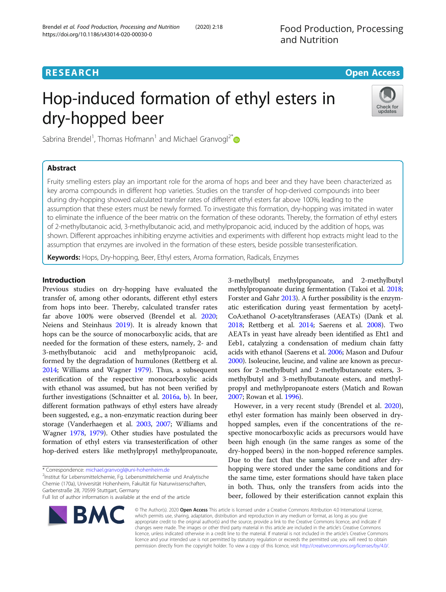## **RESEARCH CHE Open Access**

# Hop-induced formation of ethyl esters in dry-hopped beer



Sabrina Brendel<sup>1</sup>, Thomas Hofmann<sup>1</sup> and Michael Granvogl<sup>2\*</sup>

### Abstract

Fruity smelling esters play an important role for the aroma of hops and beer and they have been characterized as key aroma compounds in different hop varieties. Studies on the transfer of hop-derived compounds into beer during dry-hopping showed calculated transfer rates of different ethyl esters far above 100%, leading to the assumption that these esters must be newly formed. To investigate this formation, dry-hopping was imitated in water to eliminate the influence of the beer matrix on the formation of these odorants. Thereby, the formation of ethyl esters of 2-methylbutanoic acid, 3-methylbutanoic acid, and methylpropanoic acid, induced by the addition of hops, was shown. Different approaches inhibiting enzyme activities and experiments with different hop extracts might lead to the assumption that enzymes are involved in the formation of these esters, beside possible transesterification.

Keywords: Hops, Dry-hopping, Beer, Ethyl esters, Aroma formation, Radicals, Enzymes

#### Introduction

Previous studies on dry-hopping have evaluated the transfer of, among other odorants, different ethyl esters from hops into beer. Thereby, calculated transfer rates far above 100% were observed (Brendel et al. [2020](#page-6-0); Neiens and Steinhaus [2019](#page-6-0)). It is already known that hops can be the source of monocarboxylic acids, that are needed for the formation of these esters, namely, 2- and 3-methylbutanoic acid and methylpropanoic acid, formed by the degradation of humulones (Rettberg et al. [2014](#page-6-0); Williams and Wagner [1979](#page-6-0)). Thus, a subsequent esterification of the respective monocarboxylic acids with ethanol was assumed, but has not been verified by further investigations (Schnaitter et al. [2016a,](#page-6-0) [b](#page-6-0)). In beer, different formation pathways of ethyl esters have already been suggested, e.g., a non-enzymatic reaction during beer storage (Vanderhaegen et al. [2003](#page-6-0), [2007;](#page-6-0) Williams and Wagner [1978,](#page-6-0) [1979\)](#page-6-0). Other studies have postulated the formation of ethyl esters via transesterification of other hop-derived esters like methylpropyl methylpropanoate,

<sup>2</sup>Institut für Lebensmittelchemie, Fg. Lebensmittelchemie und Analytische Chemie (170a), Universität Hohenheim, Fakultät für Naturwissenschaften, Garbenstraße 28, 70599 Stuttgart, Germany

Full list of author information is available at the end of the article



3-methylbutyl methylpropanoate, and 2-methylbutyl methylpropanoate during fermentation (Takoi et al. [2018](#page-6-0); Forster and Gahr [2013](#page-6-0)). A further possibility is the enzymatic esterification during yeast fermentation by acetyl-CoA:ethanol O-acetyltransferases (AEATs) (Dank et al. [2018;](#page-6-0) Rettberg et al. [2014](#page-6-0); Saerens et al. [2008](#page-6-0)). Two AEATs in yeast have already been identified as Eht1 and Eeb1, catalyzing a condensation of medium chain fatty acids with ethanol (Saerens et al. [2006](#page-6-0); Mason and Dufour [2000\)](#page-6-0). Isoleucine, leucine, and valine are known as precursors for 2-methylbutyl and 2-methylbutanoate esters, 3 methylbutyl and 3-methylbutanoate esters, and methylpropyl and methylpropanoate esters (Matich and Rowan [2007;](#page-6-0) Rowan et al. [1996\)](#page-6-0).

However, in a very recent study (Brendel et al. [2020](#page-6-0)), ethyl ester formation has mainly been observed in dryhopped samples, even if the concentrations of the respective monocarboxylic acids as precursors would have been high enough (in the same ranges as some of the dry-hopped beers) in the non-hopped reference samples. Due to the fact that the samples before and after dryhopping were stored under the same conditions and for the same time, ester formations should have taken place in both. Thus, only the transfers from acids into the beer, followed by their esterification cannot explain this

© The Author(s). 2020 Open Access This article is licensed under a Creative Commons Attribution 4.0 International License, which permits use, sharing, adaptation, distribution and reproduction in any medium or format, as long as you give appropriate credit to the original author(s) and the source, provide a link to the Creative Commons licence, and indicate if changes were made. The images or other third party material in this article are included in the article's Creative Commons licence, unless indicated otherwise in a credit line to the material. If material is not included in the article's Creative Commons licence and your intended use is not permitted by statutory regulation or exceeds the permitted use, you will need to obtain permission directly from the copyright holder. To view a copy of this licence, visit [http://creativecommons.org/licenses/by/4.0/.](http://creativecommons.org/licenses/by/4.0/)

<sup>\*</sup> Correspondence: [michael.granvogl@uni-hohenheim.de](mailto:michael.granvogl@uni-hohenheim.de) <sup>2</sup>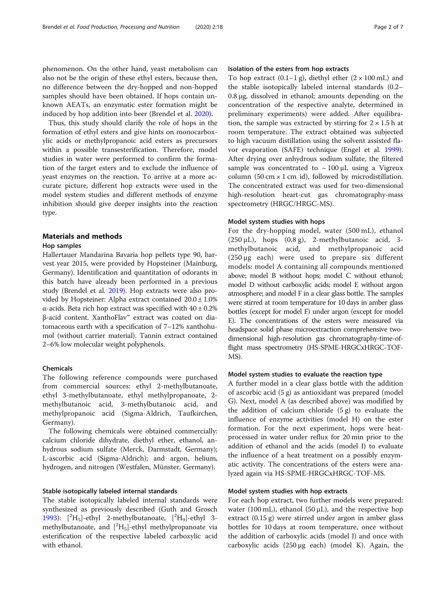phenomenon. On the other hand, yeast metabolism can also not be the origin of these ethyl esters, because then, no difference between the dry-hopped and non-hopped samples should have been obtained. If hops contain unknown AEATs, an enzymatic ester formation might be induced by hop addition into beer (Brendel et al. [2020](#page-6-0)).

Thus, this study should clarify the role of hops in the formation of ethyl esters and give hints on monocarboxylic acids or methylpropanoic acid esters as precursors within a possible transesterification. Therefore, model studies in water were performed to confirm the formation of the target esters and to exclude the influence of yeast enzymes on the reaction. To arrive at a more accurate picture, different hop extracts were used in the model system studies and different methods of enzyme inhibition should give deeper insights into the reaction type.

#### Materials and methods

#### Hop samples

Hallertauer Mandarina Bavaria hop pellets type 90, harvest year 2015, were provided by Hopsteiner (Mainburg, Germany). Identification and quantitation of odorants in this batch have already been performed in a previous study (Brendel et al. [2019](#page-6-0)). Hop extracts were also provided by Hopsteiner: Alpha extract contained 20.0 ± 1.0% α-acids. Beta rich hop extract was specified with 40 ± 0.2% β-acid content. XanthoFlav™ extract was coated on diatomaceous earth with a specification of 7–12% xanthohumol (without carrier material). Tannin extract contained 2–6% low molecular weight polyphenols.

#### Chemicals

The following reference compounds were purchased from commercial sources: ethyl 2-methylbutanoate, ethyl 3-methylbutanoate, ethyl methylpropanoate, 2 methylbutanoic acid, 3-methylbutanoic acid, and methylpropanoic acid (Sigma-Aldrich, Taufkirchen, Germany).

The following chemicals were obtained commercially: calcium chloride dihydrate, diethyl ether, ethanol, anhydrous sodium sulfate (Merck, Darmstadt, Germany); L-ascorbic acid (Sigma-Aldrich); and argon, helium, hydrogen, and nitrogen (Westfalen, Münster, Germany).

#### Stable isotopically labeled internal standards

The stable isotopically labeled internal standards were synthesized as previously described (Guth and Grosch [1993](#page-6-0)):  $[^{2}H_{5}]$ -ethyl 2-methylbutanoate,  $[^{2}H_{9}]$ -ethyl 3methylbutanoate, and [<sup>2</sup>H<sub>5</sub>]-ethyl methylpropanoate via esterification of the respective labeled carboxylic acid with ethanol.

#### Isolation of the esters from hop extracts

To hop extract  $(0.1-1 \text{ g})$ , diethyl ether  $(2 \times 100 \text{ mL})$  and the stable isotopically labeled internal standards (0.2– 0.8 μg, dissolved in ethanol; amounts depending on the concentration of the respective analyte, determined in preliminary experiments) were added. After equilibration, the sample was extracted by stirring for  $2 \times 1.5$  h at room temperature. The extract obtained was subjected to high vacuum distillation using the solvent assisted flavor evaporation (SAFE) technique (Engel et al. [1999](#page-6-0)). After drying over anhydrous sodium sulfate, the filtered sample was concentrated to  $\sim 100 \mu L$  using a Vigreux column (50 cm  $\times$  1 cm id), followed by microdistillation. The concentrated extract was used for two-dimensional high-resolution heart-cut gas chromatography-mass spectrometry (HRGC/HRGC-MS).

#### Model system studies with hops

For the dry-hopping model, water (500 mL), ethanol  $(250 \,\mu L)$ , hops  $(0.8 \,\text{g})$ , 2-methylbutanoic acid, 3methylbutanoic acid, and methylpropanoic acid (250 μg each) were used to prepare six different models: model A containing all compounds mentioned above; model B without hops; model C without ethanol; model D without carboxylic acids; model E without argon atmosphere; and model F in a clear glass bottle. The samples were stirred at room temperature for 10 days in amber glass bottles (except for model F) under argon (except for model E). The concentrations of the esters were measured via headspace solid phase microextraction comprehensive twodimensional high-resolution gas chromatography-time-offlight mass spectrometry (HS-SPME-HRGCxHRGC-TOF-MS).

#### Model system studies to evaluate the reaction type

A further model in a clear glass bottle with the addition of ascorbic acid (5 g) as antioxidant was prepared (model G). Next, model A (as described above) was modified by the addition of calcium chloride (5 g) to evaluate the influence of enzyme activities (model H) on the ester formation. For the next experiment, hops were heatprocessed in water under reflux for 20 min prior to the addition of ethanol and the acids (model I) to evaluate the influence of a heat treatment on a possibly enzymatic activity. The concentrations of the esters were analyzed again via HS-SPME-HRGCxHRGC-TOF-MS.

#### Model system studies with hop extracts

For each hop extract, two further models were prepared: water (100 mL), ethanol (50  $\mu$ L), and the respective hop extract (0.15 g) were stirred under argon in amber glass bottles for 10 days at room temperature, once without the addition of carboxylic acids (model J) and once with carboxylic acids (250 μg each) (model K). Again, the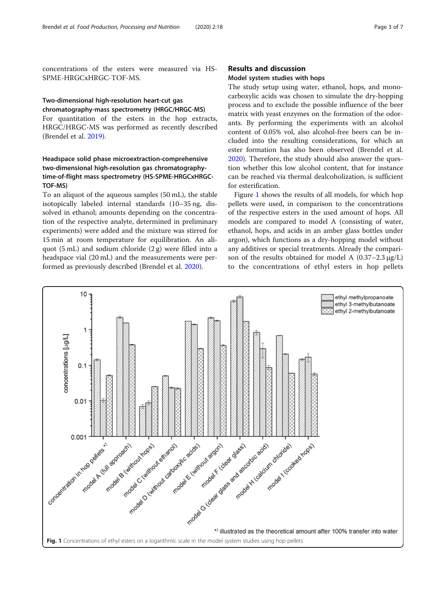concentrations of the esters were measured via HS-SPME-HRGCxHRGC-TOF-MS.

#### Two-dimensional high-resolution heart-cut gas chromatography-mass spectrometry (HRGC/HRGC-MS)

For quantitation of the esters in the hop extracts, HRGC/HRGC-MS was performed as recently described (Brendel et al. [2019](#page-6-0)).

#### Headspace solid phase microextraction-comprehensive two-dimensional high-resolution gas chromatographytime-of-flight mass spectrometry (HS-SPME-HRGCxHRGC-TOF-MS)

To an aliquot of the aqueous samples (50 mL), the stable isotopically labeled internal standards (10–35 ng, dissolved in ethanol; amounts depending on the concentration of the respective analyte, determined in preliminary experiments) were added and the mixture was stirred for 15 min at room temperature for equilibration. An aliquot (5 mL) and sodium chloride (2 g) were filled into a headspace vial (20 mL) and the measurements were performed as previously described (Brendel et al. [2020](#page-6-0)).

#### Results and discussion

#### Model system studies with hops

The study setup using water, ethanol, hops, and monocarboxylic acids was chosen to simulate the dry-hopping process and to exclude the possible influence of the beer matrix with yeast enzymes on the formation of the odorants. By performing the experiments with an alcohol content of 0.05% vol, also alcohol-free beers can be included into the resulting considerations, for which an ester formation has also been observed (Brendel et al. [2020](#page-6-0)). Therefore, the study should also answer the question whether this low alcohol content, that for instance can be reached via thermal dealcoholization, is sufficient for esterification.

Figure 1 shows the results of all models, for which hop pellets were used, in comparison to the concentrations of the respective esters in the used amount of hops. All models are compared to model A (consisting of water, ethanol, hops, and acids in an amber glass bottles under argon), which functions as a dry-hopping model without any additives or special treatments. Already the comparison of the results obtained for model A  $(0.37-2.3 \mu g/L)$ to the concentrations of ethyl esters in hop pellets

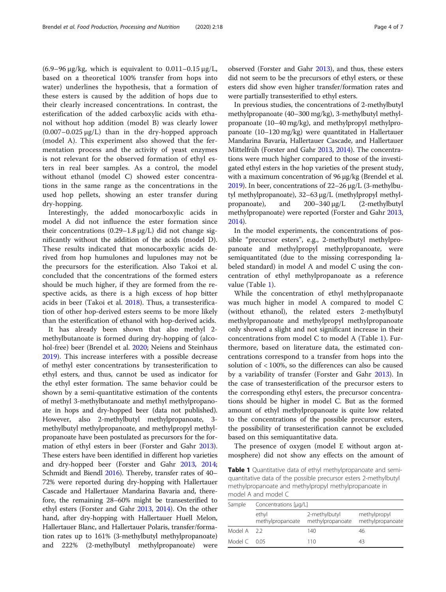(6.9–96 μg/kg, which is equivalent to 0.011–0.15 μg/L, based on a theoretical 100% transfer from hops into water) underlines the hypothesis, that a formation of these esters is caused by the addition of hops due to their clearly increased concentrations. In contrast, the esterification of the added carboxylic acids with ethanol without hop addition (model B) was clearly lower  $(0.007-0.025 \mu g/L)$  than in the dry-hopped approach (model A). This experiment also showed that the fermentation process and the activity of yeast enzymes is not relevant for the observed formation of ethyl esters in real beer samples. As a control, the model without ethanol (model C) showed ester concentrations in the same range as the concentrations in the used hop pellets, showing an ester transfer during dry-hopping.

Interestingly, the added monocarboxylic acids in model A did not influence the ester formation since their concentrations  $(0.29-1.8 \mu g/L)$  did not change significantly without the addition of the acids (model D). These results indicated that monocarboxylic acids derived from hop humulones and lupulones may not be the precursors for the esterification. Also Takoi et al. concluded that the concentrations of the formed esters should be much higher, if they are formed from the respective acids, as there is a high excess of hop bitter acids in beer (Takoi et al. [2018\)](#page-6-0). Thus, a transesterification of other hop-derived esters seems to be more likely than the esterification of ethanol with hop-derived acids.

It has already been shown that also methyl 2 methylbutanoate is formed during dry-hopping of (alcohol-free) beer (Brendel et al. [2020](#page-6-0); Neiens and Steinhaus [2019](#page-6-0)). This increase interferes with a possible decrease of methyl ester concentrations by transesterification to ethyl esters, and thus, cannot be used as indicator for the ethyl ester formation. The same behavior could be shown by a semi-quantitative estimation of the contents of methyl 3-methylbutanoate and methyl methylpropanoate in hops and dry-hopped beer (data not published). However, also 2-methylbutyl methylpropanoate, 3 methylbutyl methylpropanoate, and methylpropyl methylpropanoate have been postulated as precursors for the formation of ethyl esters in beer (Forster and Gahr [2013](#page-6-0)). These esters have been identified in different hop varieties and dry-hopped beer (Forster and Gahr [2013](#page-6-0), [2014](#page-6-0); Schmidt and Biendl [2016\)](#page-6-0). Thereby, transfer rates of 40– 72% were reported during dry-hopping with Hallertauer Cascade and Hallertauer Mandarina Bavaria and, therefore, the remaining 28–60% might be transesterified to ethyl esters (Forster and Gahr [2013,](#page-6-0) [2014\)](#page-6-0). On the other hand, after dry-hopping with Hallertauer Huell Melon, Hallertauer Blanc, and Hallertauer Polaris, transfer/formation rates up to 161% (3-methylbutyl methylpropanoate) and 222% (2-methylbutyl methylpropanoate) were

observed (Forster and Gahr [2013\)](#page-6-0), and thus, these esters did not seem to be the precursors of ethyl esters, or these esters did show even higher transfer/formation rates and were partially transesterified to ethyl esters.

In previous studies, the concentrations of 2-methylbutyl methylpropanoate (40–300 mg/kg), 3-methylbutyl methylpropanoate (10–40 mg/kg), and methylpropyl methylpropanoate (10–120 mg/kg) were quantitated in Hallertauer Mandarina Bavaria, Hallertauer Cascade, and Hallertauer Mittelfrüh (Forster and Gahr [2013,](#page-6-0) [2014](#page-6-0)). The concentrations were much higher compared to those of the investigated ethyl esters in the hop varieties of the present study, with a maximum concentration of 96 μg/kg (Brendel et al. [2019\)](#page-6-0). In beer, concentrations of 22–26 μg/L (3-methylbutyl methylpropanoate), 32–63 μg/L (methylpropyl methylpropanoate), and 200–340 μg/L (2-methylbutyl methylpropanoate) were reported (Forster and Gahr [2013](#page-6-0), [2014\)](#page-6-0).

In the model experiments, the concentrations of possible "precursor esters", e.g., 2-methylbutyl methylpropanoate and methylpropyl methylpropanoate, were semiquantitated (due to the missing corresponding labeled standard) in model A and model C using the concentration of ethyl methylpropanoate as a reference value (Table 1).

While the concentration of ethyl methylpropanaote was much higher in model A compared to model C (without ethanol), the related esters 2-methylbutyl methylpropanoate and methylpropyl methylpropanoate only showed a slight and not significant increase in their concentrations from model C to model A (Table 1). Furthermore, based on literature data, the estimated concentrations correspond to a transfer from hops into the solution of < 100%, so the differences can also be caused by a variability of transfer (Forster and Gahr [2013](#page-6-0)). In the case of transesterification of the precursor esters to the corresponding ethyl esters, the precursor concentrations should be higher in model C. But as the formed amount of ethyl methylpropanoate is quite low related to the concentrations of the possible precursor esters, the possibility of transesterification cannot be excluded based on this semiquantitative data.

The presence of oxygen (model E without argon atmosphere) did not show any effects on the amount of

Table 1 Quantitative data of ethyl methylpropanoate and semiquantitative data of the possible precursor esters 2-methylbutyl methylpropanoate and methylpropyl methylpropanoate in model A and model C

| Sample           | Concentrations [µg/L]     |                                   |                                  |  |  |
|------------------|---------------------------|-----------------------------------|----------------------------------|--|--|
|                  | ethyl<br>methylpropanoate | 2-methylbutyl<br>methylpropanoate | methylpropyl<br>methylpropanoate |  |  |
| Model A 2.2      |                           | 140                               | 46                               |  |  |
| Model $C = 0.05$ |                           | 110                               | 43                               |  |  |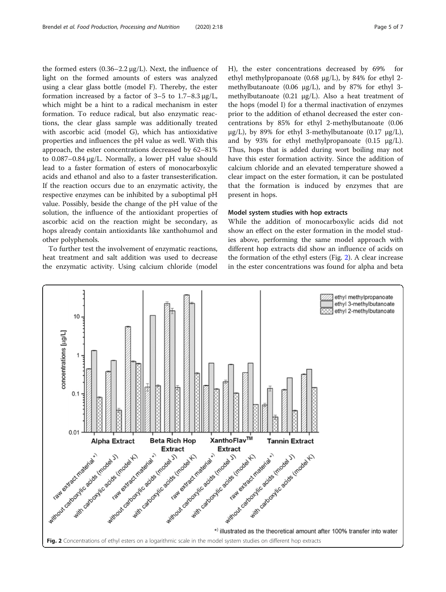<span id="page-4-0"></span>the formed esters (0.36–2.2 μg/L). Next, the influence of light on the formed amounts of esters was analyzed using a clear glass bottle (model F). Thereby, the ester formation increased by a factor of  $3-5$  to  $1.7-8.3 \mu g/L$ , which might be a hint to a radical mechanism in ester formation. To reduce radical, but also enzymatic reactions, the clear glass sample was additionally treated with ascorbic acid (model G), which has antioxidative properties and influences the pH value as well. With this approach, the ester concentrations decreased by 62–81% to 0.087–0.84 μg/L. Normally, a lower pH value should lead to a faster formation of esters of monocarboxylic acids and ethanol and also to a faster transesterification. If the reaction occurs due to an enzymatic activity, the respective enzymes can be inhibited by a suboptimal pH value. Possibly, beside the change of the pH value of the solution, the influence of the antioxidant properties of ascorbic acid on the reaction might be secondary, as hops already contain antioxidants like xanthohumol and other polyphenols.

To further test the involvement of enzymatic reactions, heat treatment and salt addition was used to decrease the enzymatic activity. Using calcium chloride (model H), the ester concentrations decreased by 69% ethyl methylpropanoate (0.68 µg/L), by 84% for ethyl 2 methylbutanoate (0.06  $\mu$ g/L), and by 87% for ethyl 3methylbutanoate  $(0.21 \mu g/L)$ . Also a heat treatment of the hops (model I) for a thermal inactivation of enzymes prior to the addition of ethanol decreased the ester concentrations by 85% for ethyl 2-methylbutanoate (0.06  $\mu$ g/L), by 89% for ethyl 3-methylbutanoate (0.17  $\mu$ g/L), and by 93% for ethyl methylpropanoate  $(0.15 \text{ µg/L}).$ Thus, hops that is added during wort boiling may not have this ester formation activity. Since the addition of calcium chloride and an elevated temperature showed a clear impact on the ester formation, it can be postulated that the formation is induced by enzymes that are present in hops.

#### Model system studies with hop extracts

While the addition of monocarboxylic acids did not show an effect on the ester formation in the model studies above, performing the same model approach with different hop extracts did show an influence of acids on the formation of the ethyl esters (Fig. 2). A clear increase in the ester concentrations was found for alpha and beta

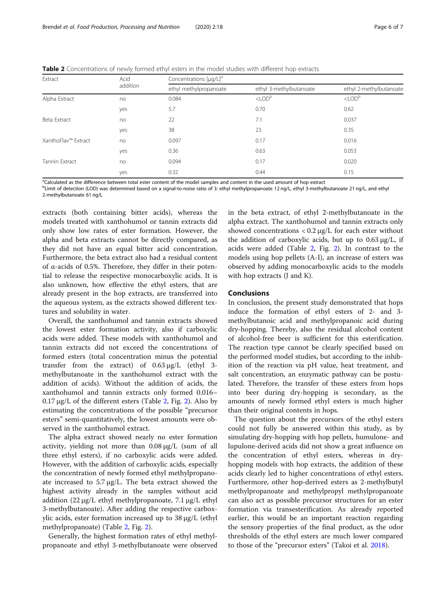| Extract             | Acid<br>addition | Concentrations [µg/L] <sup>a</sup> |                         |                         |
|---------------------|------------------|------------------------------------|-------------------------|-------------------------|
|                     |                  | ethyl methylpropanoate             | ethyl 3-methylbutanoate | ethyl 2-methylbutanoate |
| Alpha Extract       | no               | 0.084                              | $<$ LOD <sup>b</sup>    | $<$ LOD <sup>b</sup>    |
|                     | yes              | 5.7                                | 0.70                    | 0.62                    |
| Beta Extract        | no               | 22                                 | 7.1                     | 0.037                   |
|                     | yes              | 38                                 | 23                      | 0.35                    |
| XanthoFlav™ Extract | no               | 0.097                              | 0.17                    | 0.016                   |
|                     | yes              | 0.36                               | 0.63                    | 0.053                   |
| Tannin Extract      | no               | 0.094                              | 0.17                    | 0.020                   |
|                     | yes              | 0.32                               | 0.44                    | 0.15                    |

Table 2 Concentrations of newly formed ethyl esters in the model studies with different hop extracts

<sup>a</sup>Calculated as the difference between total ester content of the model samples and content in the used amount of hop extract

bLimit of detection (LOD) was determined based on a signal-to-noise ratio of 3: ethyl methylpropanoate 12 ng/L, ethyl 3-methylbutanoate 21 ng/L, and ethyl 2-methylbutanoate 61 ng/L

extracts (both containing bitter acids), whereas the models treated with xanthohumol or tannin extracts did only show low rates of ester formation. However, the alpha and beta extracts cannot be directly compared, as they did not have an equal bitter acid concentration. Furthermore, the beta extract also had a residual content of α-acids of 0.5%. Therefore, they differ in their potential to release the respective monocarboxylic acids. It is also unknown, how effective the ethyl esters, that are already present in the hop extracts, are transferred into the aqueous system, as the extracts showed different textures and solubility in water.

Overall, the xanthohumol and tannin extracts showed the lowest ester formation activity, also if carboxylic acids were added. These models with xanthohumol and tannin extracts did not exceed the concentrations of formed esters (total concentration minus the potential transfer from the extract) of 0.63 μg/L (ethyl 3 methylbutanoate in the xanthohumol extract with the addition of acids). Without the addition of acids, the xanthohumol and tannin extracts only formed 0.016–  $0.17 \mu$ g/L of the different esters (Table [2](#page-4-0), Fig. 2). Also by estimating the concentrations of the possible "precursor esters" semi-quantitatively, the lowest amounts were observed in the xanthohumol extract.

The alpha extract showed nearly no ester formation activity, yielding not more than 0.08 μg/L (sum of all three ethyl esters), if no carboxylic acids were added. However, with the addition of carboxylic acids, especially the concentration of newly formed ethyl methylpropanoate increased to  $5.7 \mu g/L$ . The beta extract showed the highest activity already in the samples without acid addition (22 μg/L ethyl methylpropanoate, 7.1 μg/L ethyl 3-methylbutanoate). After adding the respective carboxylic acids, ester formation increased up to 38 μg/L (ethyl methylpropanoate) (Table 2, Fig. [2](#page-4-0)).

Generally, the highest formation rates of ethyl methylpropanoate and ethyl 3-methylbutanoate were observed

in the beta extract, of ethyl 2-methylbutanoate in the alpha extract. The xanthohumol and tannin extracts only showed concentrations  $< 0.2 \mu g/L$  for each ester without the addition of carboxylic acids, but up to  $0.63 \mu g/L$ , if acids were added (Table 2, Fig. [2\)](#page-4-0). In contrast to the models using hop pellets (A-I), an increase of esters was observed by adding monocarboxylic acids to the models with hop extracts (J and K).

#### Conclusions

In conclusion, the present study demonstrated that hops induce the formation of ethyl esters of 2- and 3 methylbutanoic acid and methylpropanoic acid during dry-hopping. Thereby, also the residual alcohol content of alcohol-free beer is sufficient for this esterification. The reaction type cannot be clearly specified based on the performed model studies, but according to the inhibition of the reaction via pH value, heat treatment, and salt concentration, an enzymatic pathway can be postulated. Therefore, the transfer of these esters from hops into beer during dry-hopping is secondary, as the amounts of newly formed ethyl esters is much higher than their original contents in hops.

The question about the precursors of the ethyl esters could not fully be answered within this study, as by simulating dry-hopping with hop pellets, humulone- and lupulone-derived acids did not show a great influence on the concentration of ethyl esters, whereas in dryhopping models with hop extracts, the addition of these acids clearly led to higher concentrations of ethyl esters. Furthermore, other hop-derived esters as 2-methylbutyl methylpropanoate and methylpropyl methylpropanoate can also act as possible precursor structures for an ester formation via transesterification. As already reported earlier, this would be an important reaction regarding the sensory properties of the final product, as the odor thresholds of the ethyl esters are much lower compared to those of the "precursor esters" (Takoi et al. [2018\)](#page-6-0).